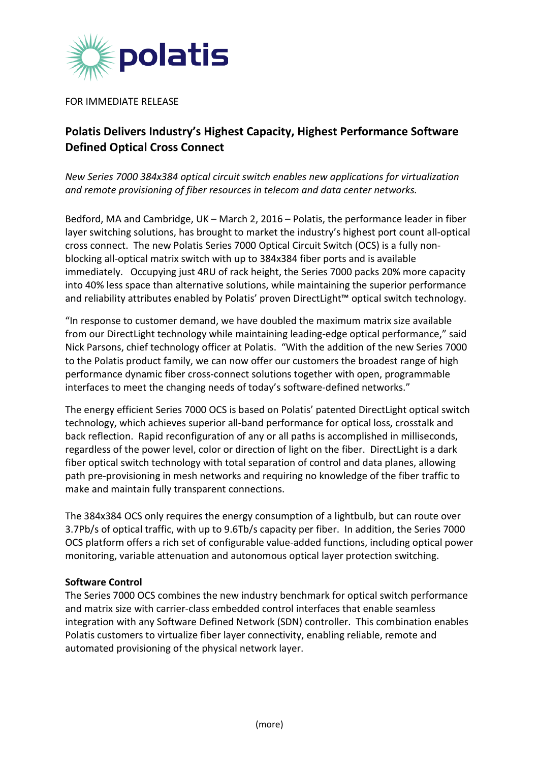

FOR IMMEDIATE RELEASE

## **Polatis Delivers Industry's Highest Capacity, Highest Performance Software Defined Optical Cross Connect**

*New Series 7000 384x384 optical circuit switch enables new applications for virtualization and remote provisioning of fiber resources in telecom and data center networks.*

Bedford, MA and Cambridge, UK – March 2, 2016 – Polatis, the performance leader in fiber layer switching solutions, has brought to market the industry's highest port count all-optical cross connect. The new Polatis Series 7000 Optical Circuit Switch (OCS) is a fully nonblocking all-optical matrix switch with up to 384x384 fiber ports and is available immediately. Occupying just 4RU of rack height, the Series 7000 packs 20% more capacity into 40% less space than alternative solutions, while maintaining the superior performance and reliability attributes enabled by Polatis' proven DirectLight™ optical switch technology.

"In response to customer demand, we have doubled the maximum matrix size available from our DirectLight technology while maintaining leading-edge optical performance," said Nick Parsons, chief technology officer at Polatis. "With the addition of the new Series 7000 to the Polatis product family, we can now offer our customers the broadest range of high performance dynamic fiber cross-connect solutions together with open, programmable interfaces to meet the changing needs of today's software-defined networks."

The energy efficient Series 7000 OCS is based on Polatis' patented DirectLight optical switch technology, which achieves superior all-band performance for optical loss, crosstalk and back reflection. Rapid reconfiguration of any or all paths is accomplished in milliseconds, regardless of the power level, color or direction of light on the fiber. DirectLight is a dark fiber optical switch technology with total separation of control and data planes, allowing path pre-provisioning in mesh networks and requiring no knowledge of the fiber traffic to make and maintain fully transparent connections.

The 384x384 OCS only requires the energy consumption of a lightbulb, but can route over 3.7Pb/s of optical traffic, with up to 9.6Tb/s capacity per fiber. In addition, the Series 7000 OCS platform offers a rich set of configurable value-added functions, including optical power monitoring, variable attenuation and autonomous optical layer protection switching.

## **Software Control**

The Series 7000 OCS combines the new industry benchmark for optical switch performance and matrix size with carrier-class embedded control interfaces that enable seamless integration with any Software Defined Network (SDN) controller. This combination enables Polatis customers to virtualize fiber layer connectivity, enabling reliable, remote and automated provisioning of the physical network layer.